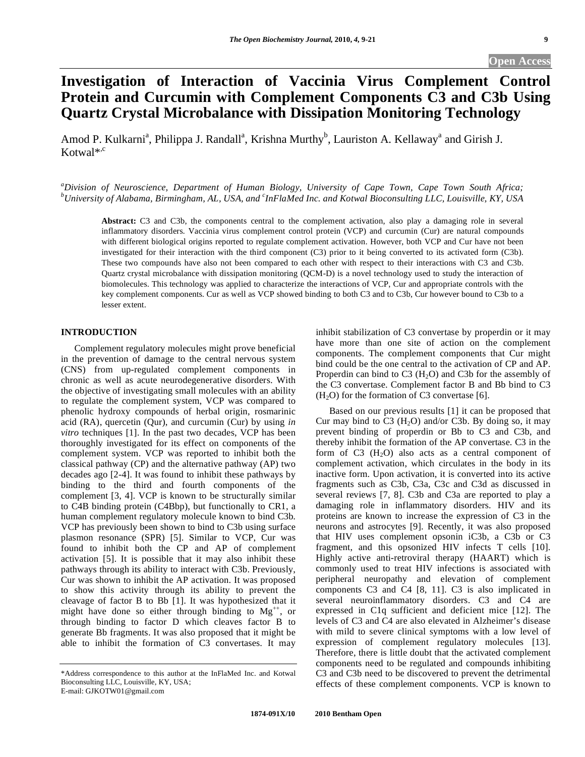# **Investigation of Interaction of Vaccinia Virus Complement Control Protein and Curcumin with Complement Components C3 and C3b Using Quartz Crystal Microbalance with Dissipation Monitoring Technology**

Amod P. Kulkarni<sup>a</sup>, Philippa J. Randall<sup>a</sup>, Krishna Murthy<sup>b</sup>, Lauriston A. Kellaway<sup>a</sup> and Girish J. Kotwal\*,c

*a Division of Neuroscience, Department of Human Biology, University of Cape Town, Cape Town South Africa;*  <sup>b</sup>University of Alabama, Birmingham, AL, USA, and <sup>c</sup>InFlaMed Inc. and Kotwal Bioconsulting LLC, Louisville, KY, USA

**Abstract:** C3 and C3b, the components central to the complement activation, also play a damaging role in several inflammatory disorders. Vaccinia virus complement control protein (VCP) and curcumin (Cur) are natural compounds with different biological origins reported to regulate complement activation. However, both VCP and Cur have not been investigated for their interaction with the third component (C3) prior to it being converted to its activated form (C3b). These two compounds have also not been compared to each other with respect to their interactions with C3 and C3b. Quartz crystal microbalance with dissipation monitoring (QCM-D) is a novel technology used to study the interaction of biomolecules. This technology was applied to characterize the interactions of VCP, Cur and appropriate controls with the key complement components. Cur as well as VCP showed binding to both C3 and to C3b, Cur however bound to C3b to a lesser extent.

## **INTRODUCTION**

 Complement regulatory molecules might prove beneficial in the prevention of damage to the central nervous system (CNS) from up-regulated complement components in chronic as well as acute neurodegenerative disorders. With the objective of investigating small molecules with an ability to regulate the complement system, VCP was compared to phenolic hydroxy compounds of herbal origin, rosmarinic acid (RA), quercetin (Qur), and curcumin (Cur) by using *in vitro* techniques [1]. In the past two decades, VCP has been thoroughly investigated for its effect on components of the complement system. VCP was reported to inhibit both the classical pathway (CP) and the alternative pathway (AP) two decades ago [2-4]. It was found to inhibit these pathways by binding to the third and fourth components of the complement [3, 4]. VCP is known to be structurally similar to C4B binding protein (C4Bbp), but functionally to CR1, a human complement regulatory molecule known to bind C3b. VCP has previously been shown to bind to C3b using surface plasmon resonance (SPR) [5]. Similar to VCP, Cur was found to inhibit both the CP and AP of complement activation [5]. It is possible that it may also inhibit these pathways through its ability to interact with C3b. Previously, Cur was shown to inhibit the AP activation. It was proposed to show this activity through its ability to prevent the cleavage of factor B to Bb [1]. It was hypothesized that it might have done so either through binding to  $Mg^{++}$ , or through binding to factor D which cleaves factor B to generate Bb fragments. It was also proposed that it might be able to inhibit the formation of C3 convertases. It may

inhibit stabilization of C3 convertase by properdin or it may have more than one site of action on the complement components. The complement components that Cur might bind could be the one central to the activation of CP and AP. Properdin can bind to C3  $(H<sub>2</sub>O)$  and C3b for the assembly of the C3 convertase. Complement factor B and Bb bind to C3  $(H<sub>2</sub>O)$  for the formation of C3 convertase [6].

 Based on our previous results [1] it can be proposed that Cur may bind to  $C_3$  (H<sub>2</sub>O) and/or C3b. By doing so, it may prevent binding of properdin or Bb to C3 and C3b, and thereby inhibit the formation of the AP convertase. C3 in the form of  $C3$  (H<sub>2</sub>O) also acts as a central component of complement activation, which circulates in the body in its inactive form. Upon activation, it is converted into its active fragments such as C3b, C3a, C3c and C3d as discussed in several reviews [7, 8]. C3b and C3a are reported to play a damaging role in inflammatory disorders. HIV and its proteins are known to increase the expression of C3 in the neurons and astrocytes [9]. Recently, it was also proposed that HIV uses complement opsonin iC3b, a C3b or C3 fragment, and this opsonized HIV infects T cells [10]. Highly active anti-retroviral therapy (HAART) which is commonly used to treat HIV infections is associated with peripheral neuropathy and elevation of complement components C3 and C4 [8, 11]. C3 is also implicated in several neuroinflammatory disorders. C3 and C4 are expressed in C1q sufficient and deficient mice [12]. The levels of C3 and C4 are also elevated in Alzheimer's disease with mild to severe clinical symptoms with a low level of expression of complement regulatory molecules [13]. Therefore, there is little doubt that the activated complement components need to be regulated and compounds inhibiting C3 and C3b need to be discovered to prevent the detrimental effects of these complement components. VCP is known to

<sup>\*</sup>Address correspondence to this author at the InFlaMed Inc. and Kotwal Bioconsulting LLC, Louisville, KY, USA; E-mail: GJKOTW01@gmail.com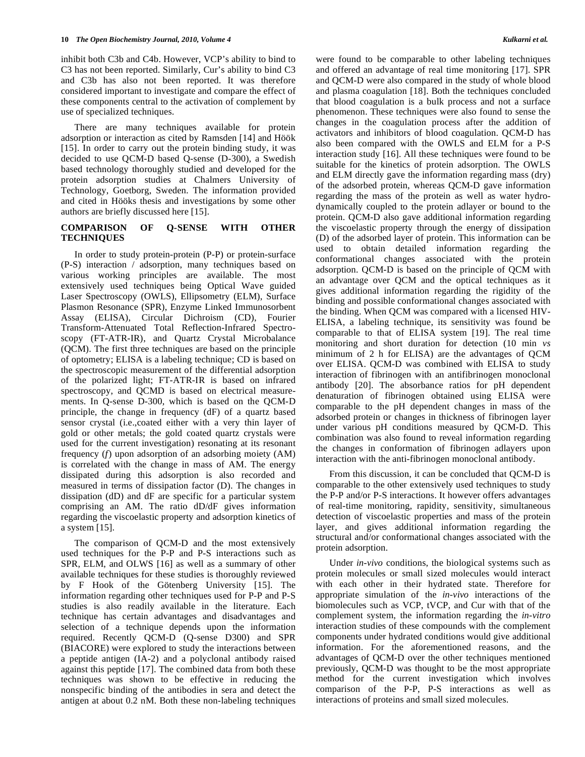inhibit both C3b and C4b. However, VCP's ability to bind to C3 has not been reported. Similarly, Cur's ability to bind C3 and C3b has also not been reported. It was therefore considered important to investigate and compare the effect of these components central to the activation of complement by use of specialized techniques.

 There are many techniques available for protein adsorption or interaction as cited by Ramsden [14] and Höök [15]. In order to carry out the protein binding study, it was decided to use QCM-D based Q-sense (D-300), a Swedish based technology thoroughly studied and developed for the protein adsorption studies at Chalmers University of Technology, Goetborg, Sweden. The information provided and cited in Hööks thesis and investigations by some other authors are briefly discussed here [15].

# **COMPARISON OF Q-SENSE WITH OTHER TECHNIQUES**

 In order to study protein-protein (P-P) or protein-surface (P-S) interaction / adsorption, many techniques based on various working principles are available. The most extensively used techniques being Optical Wave guided Laser Spectroscopy (OWLS), Ellipsometry (ELM), Surface Plasmon Resonance (SPR), Enzyme Linked Immunosorbent Assay (ELISA), Circular Dichroism (CD), Fourier Transform-Attenuated Total Reflection-Infrared Spectroscopy (FT-ATR-IR), and Quartz Crystal Microbalance (QCM). The first three techniques are based on the principle of optometry; ELISA is a labeling technique; CD is based on the spectroscopic measurement of the differential adsorption of the polarized light; FT-ATR-IR is based on infrared spectroscopy, and QCMD is based on electrical measurements. In Q-sense D-300, which is based on the QCM-D principle, the change in frequency (dF) of a quartz based sensor crystal (i.e.,coated either with a very thin layer of gold or other metals; the gold coated quartz crystals were used for the current investigation) resonating at its resonant frequency (*f*) upon adsorption of an adsorbing moiety (AM) is correlated with the change in mass of AM. The energy dissipated during this adsorption is also recorded and measured in terms of dissipation factor (D). The changes in dissipation (dD) and dF are specific for a particular system comprising an AM. The ratio dD/dF gives information regarding the viscoelastic property and adsorption kinetics of a system [15].

 The comparison of QCM-D and the most extensively used techniques for the P-P and P-S interactions such as SPR, ELM, and OLWS [16] as well as a summary of other available techniques for these studies is thoroughly reviewed by F Hook of the Götenberg University [15]. The information regarding other techniques used for P-P and P-S studies is also readily available in the literature. Each technique has certain advantages and disadvantages and selection of a technique depends upon the information required. Recently QCM-D (Q-sense D300) and SPR (BIACORE) were explored to study the interactions between a peptide antigen (IA-2) and a polyclonal antibody raised against this peptide [17]. The combined data from both these techniques was shown to be effective in reducing the nonspecific binding of the antibodies in sera and detect the antigen at about 0.2 nM. Both these non-labeling techniques

were found to be comparable to other labeling techniques and offered an advantage of real time monitoring [17]. SPR and QCM-D were also compared in the study of whole blood and plasma coagulation [18]. Both the techniques concluded that blood coagulation is a bulk process and not a surface phenomenon. These techniques were also found to sense the changes in the coagulation process after the addition of activators and inhibitors of blood coagulation. QCM-D has also been compared with the OWLS and ELM for a P-S interaction study [16]. All these techniques were found to be suitable for the kinetics of protein adsorption. The OWLS and ELM directly gave the information regarding mass (dry) of the adsorbed protein, whereas QCM-D gave information regarding the mass of the protein as well as water hydrodynamically coupled to the protein adlayer or bound to the protein. QCM-D also gave additional information regarding the viscoelastic property through the energy of dissipation (D) of the adsorbed layer of protein. This information can be used to obtain detailed information regarding the conformational changes associated with the protein adsorption. QCM-D is based on the principle of QCM with an advantage over QCM and the optical techniques as it gives additional information regarding the rigidity of the binding and possible conformational changes associated with the binding. When QCM was compared with a licensed HIV-ELISA, a labeling technique, its sensitivity was found be comparable to that of ELISA system [19]. The real time monitoring and short duration for detection (10 min *vs* minimum of 2 h for ELISA) are the advantages of QCM over ELISA. QCM-D was combined with ELISA to study interaction of fibrinogen with an antifibrinogen monoclonal antibody [20]. The absorbance ratios for pH dependent denaturation of fibrinogen obtained using ELISA were comparable to the pH dependent changes in mass of the adsorbed protein or changes in thickness of fibrinogen layer under various pH conditions measured by QCM-D. This combination was also found to reveal information regarding the changes in conformation of fibrinogen adlayers upon interaction with the anti-fibrinogen monoclonal antibody.

 From this discussion, it can be concluded that QCM-D is comparable to the other extensively used techniques to study the P-P and/or P-S interactions. It however offers advantages of real-time monitoring, rapidity, sensitivity, simultaneous detection of viscoelastic properties and mass of the protein layer, and gives additional information regarding the structural and/or conformational changes associated with the protein adsorption.

 Under *in-vivo* conditions, the biological systems such as protein molecules or small sized molecules would interact with each other in their hydrated state. Therefore for appropriate simulation of the *in-vivo* interactions of the biomolecules such as VCP, tVCP, and Cur with that of the complement system, the information regarding the *in-vitro* interaction studies of these compounds with the complement components under hydrated conditions would give additional information. For the aforementioned reasons, and the advantages of QCM-D over the other techniques mentioned previously, QCM-D was thought to be the most appropriate method for the current investigation which involves comparison of the P-P, P-S interactions as well as interactions of proteins and small sized molecules.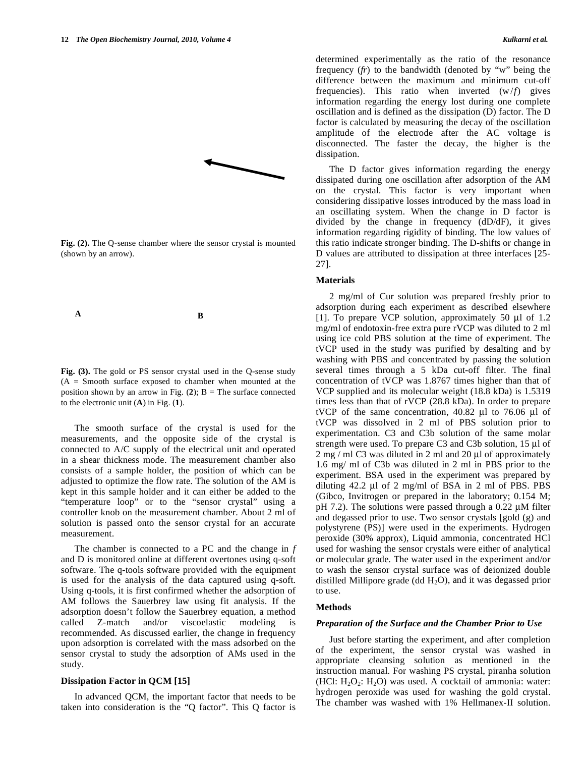

**Fig. (2).** The Q-sense chamber where the sensor crystal is mounted (shown by an arrow).



**Fig. (3).** The gold or PS sensor crystal used in the Q-sense study (A = Smooth surface exposed to chamber when mounted at the position shown by an arrow in Fig.  $(2)$ ; B = The surface connected to the electronic unit (**A**) in Fig. (**1**).

 The smooth surface of the crystal is used for the measurements, and the opposite side of the crystal is connected to A/C supply of the electrical unit and operated in a shear thickness mode. The measurement chamber also consists of a sample holder, the position of which can be adjusted to optimize the flow rate. The solution of the AM is kept in this sample holder and it can either be added to the "temperature loop" or to the "sensor crystal" using a controller knob on the measurement chamber. About 2 ml of solution is passed onto the sensor crystal for an accurate measurement.

 The chamber is connected to a PC and the change in *f*  and D is monitored online at different overtones using q-soft software. The q-tools software provided with the equipment is used for the analysis of the data captured using q-soft. Using q-tools, it is first confirmed whether the adsorption of AM follows the Sauerbrey law using fit analysis. If the adsorption doesn't follow the Sauerbrey equation, a method called Z-match and/or viscoelastic modeling is recommended. As discussed earlier, the change in frequency upon adsorption is correlated with the mass adsorbed on the sensor crystal to study the adsorption of AMs used in the study.

## **Dissipation Factor in QCM [15]**

 In advanced QCM, the important factor that needs to be taken into consideration is the "Q factor". This Q factor is determined experimentally as the ratio of the resonance frequency (*fr*) to the bandwidth (denoted by "w" being the difference between the maximum and minimum cut-off frequencies). This ratio when inverted  $(w/f)$  gives information regarding the energy lost during one complete oscillation and is defined as the dissipation (D) factor. The D factor is calculated by measuring the decay of the oscillation amplitude of the electrode after the AC voltage is disconnected. The faster the decay, the higher is the dissipation.

 The D factor gives information regarding the energy dissipated during one oscillation after adsorption of the AM on the crystal. This factor is very important when considering dissipative losses introduced by the mass load in an oscillating system. When the change in D factor is divided by the change in frequency (dD/dF), it gives information regarding rigidity of binding. The low values of this ratio indicate stronger binding. The D-shifts or change in D values are attributed to dissipation at three interfaces [25- 27].

## **Materials**

 2 mg/ml of Cur solution was prepared freshly prior to adsorption during each experiment as described elsewhere [1]. To prepare VCP solution, approximately 50 μl of 1.2 mg/ml of endotoxin-free extra pure rVCP was diluted to 2 ml using ice cold PBS solution at the time of experiment. The tVCP used in the study was purified by desalting and by washing with PBS and concentrated by passing the solution several times through a 5 kDa cut-off filter. The final concentration of tVCP was 1.8767 times higher than that of VCP supplied and its molecular weight (18.8 kDa) is 1.5319 times less than that of rVCP (28.8 kDa). In order to prepare tVCP of the same concentration, 40.82 μl to 76.06 μl of tVCP was dissolved in 2 ml of PBS solution prior to experimentation. C3 and C3b solution of the same molar strength were used. To prepare C3 and C3b solution, 15 μl of 2 mg / ml C3 was diluted in 2 ml and 20 μl of approximately 1.6 mg/ ml of C3b was diluted in 2 ml in PBS prior to the experiment. BSA used in the experiment was prepared by diluting 42.2 μl of 2 mg/ml of BSA in 2 ml of PBS. PBS (Gibco, Invitrogen or prepared in the laboratory; 0.154 M; pH 7.2). The solutions were passed through a 0.22 μM filter and degassed prior to use. Two sensor crystals [gold (g) and polystyrene (PS)] were used in the experiments. Hydrogen peroxide (30% approx), Liquid ammonia, concentrated HCl used for washing the sensor crystals were either of analytical or molecular grade. The water used in the experiment and/or to wash the sensor crystal surface was of deionized double distilled Millipore grade (dd  $H_2O$ ), and it was degassed prior to use.

#### **Methods**

#### *Preparation of the Surface and the Chamber Prior to Use*

 Just before starting the experiment, and after completion of the experiment, the sensor crystal was washed in appropriate cleansing solution as mentioned in the instruction manual. For washing PS crystal, piranha solution (HCl:  $H_2O_2$ :  $H_2O$ ) was used. A cocktail of ammonia: water: hydrogen peroxide was used for washing the gold crystal. The chamber was washed with 1% Hellmanex-II solution.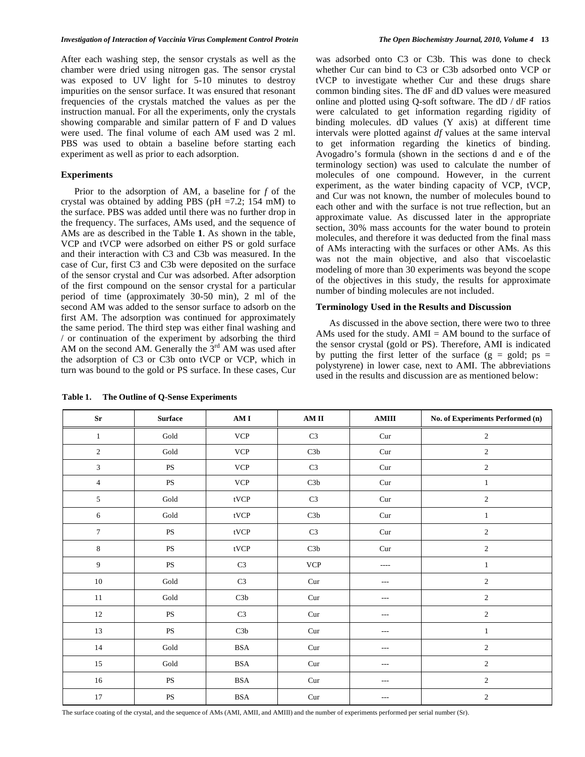After each washing step, the sensor crystals as well as the chamber were dried using nitrogen gas. The sensor crystal was exposed to UV light for 5-10 minutes to destroy impurities on the sensor surface. It was ensured that resonant frequencies of the crystals matched the values as per the instruction manual. For all the experiments, only the crystals showing comparable and similar pattern of F and D values were used. The final volume of each AM used was 2 ml. PBS was used to obtain a baseline before starting each experiment as well as prior to each adsorption.

# **Experiments**

 Prior to the adsorption of AM, a baseline for *f* of the crystal was obtained by adding PBS ( $pH = 7.2$ ; 154 mM) to the surface. PBS was added until there was no further drop in the frequency. The surfaces, AMs used, and the sequence of AMs are as described in the Table **1**. As shown in the table, VCP and tVCP were adsorbed on either PS or gold surface and their interaction with C3 and C3b was measured. In the case of Cur, first C3 and C3b were deposited on the surface of the sensor crystal and Cur was adsorbed. After adsorption of the first compound on the sensor crystal for a particular period of time (approximately 30-50 min), 2 ml of the second AM was added to the sensor surface to adsorb on the first AM. The adsorption was continued for approximately the same period. The third step was either final washing and / or continuation of the experiment by adsorbing the third AM on the second AM. Generally the  $3<sup>rd</sup>$  AM was used after the adsorption of C3 or C3b onto tVCP or VCP, which in turn was bound to the gold or PS surface. In these cases, Cur

**Table 1. The Outline of Q-Sense Experiments** 

was adsorbed onto C3 or C3b. This was done to check whether Cur can bind to C3 or C3b adsorbed onto VCP or tVCP to investigate whether Cur and these drugs share common binding sites. The dF and dD values were measured online and plotted using Q-soft software. The dD / dF ratios were calculated to get information regarding rigidity of binding molecules. dD values (Y axis) at different time intervals were plotted against *df* values at the same interval to get information regarding the kinetics of binding. Avogadro's formula (shown in the sections d and e of the terminology section) was used to calculate the number of molecules of one compound. However, in the current experiment, as the water binding capacity of VCP, tVCP, and Cur was not known, the number of molecules bound to each other and with the surface is not true reflection, but an approximate value. As discussed later in the appropriate section, 30% mass accounts for the water bound to protein molecules, and therefore it was deducted from the final mass of AMs interacting with the surfaces or other AMs. As this was not the main objective, and also that viscoelastic modeling of more than 30 experiments was beyond the scope of the objectives in this study, the results for approximate number of binding molecules are not included.

## **Terminology Used in the Results and Discussion**

 As discussed in the above section, there were two to three AMs used for the study. AMI  $=$  AM bound to the surface of the sensor crystal (gold or PS). Therefore, AMI is indicated by putting the first letter of the surface  $(g = gold; ps =$ polystyrene) in lower case, next to AMI. The abbreviations used in the results and discussion are as mentioned below:

| $S_{r}$                     | <b>Surface</b>         | AM I                         | AM II                     | <b>AMIII</b> | No. of Experiments Performed (n) |
|-----------------------------|------------------------|------------------------------|---------------------------|--------------|----------------------------------|
| $\mathbf{1}$                | Gold                   | <b>VCP</b>                   | C <sub>3</sub>            | Cur          | $\sqrt{2}$                       |
| $\boldsymbol{2}$            | Gold                   | <b>VCP</b>                   | C3b                       | Cur          | $\mathfrak{2}$                   |
| $\ensuremath{\mathfrak{Z}}$ | $\mathbf{P}\mathbf{S}$ | $\ensuremath{\text{VCP}}$    | $\rm C3$                  | Cur          | $\overline{2}$                   |
| $\overline{4}$              | $\mathbf{P}\mathbf{S}$ | <b>VCP</b>                   | C3b                       | Cur          | $\mathbf{1}$                     |
| $5\,$                       | Gold                   | $\mathsf{tVCP}$              | C <sub>3</sub>            | Cur          | $\sqrt{2}$                       |
| 6                           | $\operatorname{Gold}$  | tVCP                         | C3b                       | Cur          | $\mathbf{1}$                     |
| $\overline{7}$              | $\mathbf{P}\mathbf{S}$ | $\ensuremath{\mathsf{tVCP}}$ | $\rm C3$                  | Cur          | $\overline{c}$                   |
| 8                           | PS                     | tVCP                         | C3b                       | Cur          | $\sqrt{2}$                       |
| 9                           | $\mathbf{P}\mathbf{S}$ | C <sub>3</sub>               | $\ensuremath{\text{VCP}}$ | ----         | $\mathbf{1}$                     |
| $10\,$                      | $\operatorname{Gold}$  | $\rm C3$                     | Cur                       | $---$        | $\sqrt{2}$                       |
| $11\,$                      | $\operatorname{Gold}$  | $\mbox{C3b}$                 | Cur                       | $---$        | $\sqrt{2}$                       |
| $12\,$                      | $\mathbf{P}\mathbf{S}$ | $\rm C3$                     | Cur                       | $---$        | $\sqrt{2}$                       |
| 13                          | $\mathbf{P}\mathbf{S}$ | C3b                          | Cur                       | $---$        | $\mathbf{1}$                     |
| 14                          | $\operatorname{Gold}$  | <b>BSA</b>                   | Cur                       | $\cdots$     | $\sqrt{2}$                       |
| 15                          | $\operatorname{Gold}$  | <b>BSA</b>                   | Cur                       | $---$        | $\overline{2}$                   |
| 16                          | $\mathbf{P}\mathbf{S}$ | <b>BSA</b>                   | Cur                       | $\cdots$     | $\mathfrak{2}$                   |
| 17                          | PS                     | <b>BSA</b>                   | Cur                       | $---$        | $\mathfrak{2}$                   |

The surface coating of the crystal, and the sequence of AMs (AMI, AMII, and AMIII) and the number of experiments performed per serial number (Sr).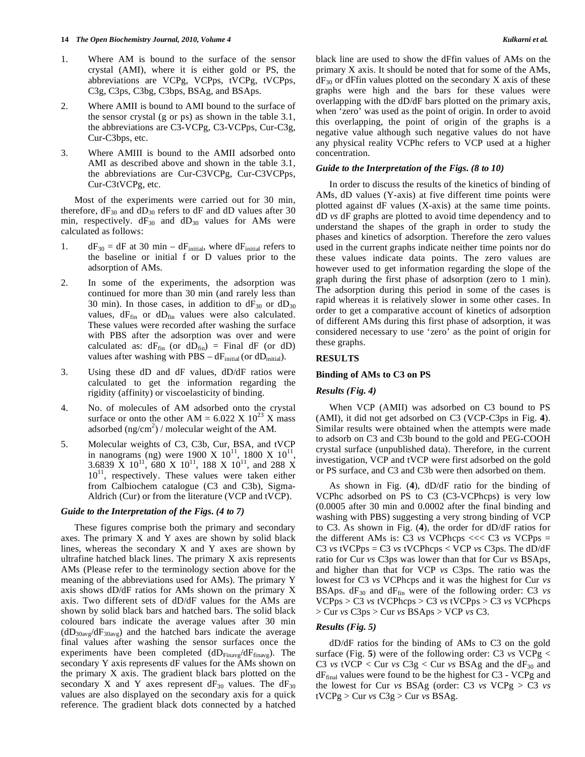- 1. Where AM is bound to the surface of the sensor crystal (AMI), where it is either gold or PS, the abbreviations are VCPg, VCPps, tVCPg, tVCPps, C3g, C3ps, C3bg, C3bps, BSAg, and BSAps.
- 2. Where AMII is bound to AMI bound to the surface of the sensor crystal (g or ps) as shown in the table 3.1, the abbreviations are C3-VCPg, C3-VCPps, Cur-C3g, Cur-C3bps, etc.
- 3. Where AMIII is bound to the AMII adsorbed onto AMI as described above and shown in the table 3.1, the abbreviations are Cur-C3VCPg, Cur-C3VCPps, Cur-C3tVCPg, etc.

 Most of the experiments were carried out for 30 min, therefore,  $dF_{30}$  and  $dD_{30}$  refers to  $dF$  and  $dD$  values after 30 min, respectively.  $dF_{30}$  and  $dD_{30}$  values for AMs were calculated as follows:

- 1.  $dF_{30} = dF$  at 30 min  $dF<sub>initial</sub>$  where  $dF<sub>initial</sub>$  refers to the baseline or initial f or D values prior to the adsorption of AMs.
- 2. In some of the experiments, the adsorption was continued for more than 30 min (and rarely less than 30 min). In those cases, in addition to  $dF_{30}$  or  $dD_{30}$ values,  $dF_{fin}$  or  $dD_{fin}$  values were also calculated. These values were recorded after washing the surface with PBS after the adsorption was over and were calculated as:  $dF_{fin}$  (or  $dD_{fin}$ ) = Final  $dF$  (or  $dD$ ) values after washing with  $PBS - dF<sub>initial</sub>$  (or dD<sub>initial</sub>).
- 3. Using these dD and dF values, dD/dF ratios were calculated to get the information regarding the rigidity (affinity) or viscoelasticity of binding.
- 4. No. of molecules of AM adsorbed onto the crystal surface or onto the other  $AM = 6.022 \times 10^{23} \text{ X}$  mass adsorbed  $(ng/cm^2)$  / molecular weight of the AM.
- 5. Molecular weights of C3, C3b, Cur, BSA, and tVCP in nanograms (ng) were 1900 X  $10^{11}$ , 1800 X  $10^{11}$ , 3.6839 X 10<sup>11</sup>, 680 X 10<sup>11</sup>, 188 X 10<sup>11</sup>, and 288 X  $10<sup>11</sup>$ , respectively. These values were taken either from Calbiochem catalogue (C3 and C3b), Sigma-Aldrich (Cur) or from the literature (VCP and tVCP).

#### *Guide to the Interpretation of the Figs. (4 to 7)*

 These figures comprise both the primary and secondary axes. The primary X and Y axes are shown by solid black lines, whereas the secondary  $X$  and  $Y$  axes are shown by ultrafine hatched black lines. The primary X axis represents AMs (Please refer to the terminology section above for the meaning of the abbreviations used for AMs). The primary Y axis shows dD/dF ratios for AMs shown on the primary X axis. Two different sets of dD/dF values for the AMs are shown by solid black bars and hatched bars. The solid black coloured bars indicate the average values after 30 min  $(dD_{30\text{avg}}/dF_{30\text{avg}})$  and the hatched bars indicate the average final values after washing the sensor surfaces once the experiments have been completed  $(dD_{\text{Finavg}}/dF_{\text{finavg}})$ . The secondary Y axis represents dF values for the AMs shown on the primary X axis. The gradient black bars plotted on the secondary X and Y axes represent  $dF_{30}$  values. The  $dF_{30}$ values are also displayed on the secondary axis for a quick reference. The gradient black dots connected by a hatched black line are used to show the dFfin values of AMs on the primary X axis. It should be noted that for some of the AMs,  $dF_{30}$  or dFfin values plotted on the secondary X axis of these graphs were high and the bars for these values were overlapping with the dD/dF bars plotted on the primary axis, when 'zero' was used as the point of origin. In order to avoid this overlapping, the point of origin of the graphs is a negative value although such negative values do not have any physical reality VCPhc refers to VCP used at a higher concentration.

# *Guide to the Interpretation of the Figs. (8 to 10)*

 In order to discuss the results of the kinetics of binding of AMs, dD values (Y-axis) at five different time points were plotted against dF values (X-axis) at the same time points. dD *vs* dF graphs are plotted to avoid time dependency and to understand the shapes of the graph in order to study the phases and kinetics of adsorption. Therefore the zero values used in the current graphs indicate neither time points nor do these values indicate data points. The zero values are however used to get information regarding the slope of the graph during the first phase of adsorption (zero to 1 min). The adsorption during this period in some of the cases is rapid whereas it is relatively slower in some other cases. In order to get a comparative account of kinetics of adsorption of different AMs during this first phase of adsorption, it was considered necessary to use 'zero' as the point of origin for these graphs.

## **RESULTS**

#### **Binding of AMs to C3 on PS**

#### *Results (Fig. 4)*

 When VCP (AMII) was adsorbed on C3 bound to PS (AMI), it did not get adsorbed on C3 (VCP-C3ps in Fig. **4**). Similar results were obtained when the attempts were made to adsorb on C3 and C3b bound to the gold and PEG-COOH crystal surface (unpublished data). Therefore, in the current investigation, VCP and tVCP were first adsorbed on the gold or PS surface, and C3 and C3b were then adsorbed on them.

 As shown in Fig. (**4**), dD/dF ratio for the binding of VCPhc adsorbed on PS to C3 (C3-VCPhcps) is very low (0.0005 after 30 min and 0.0002 after the final binding and washing with PBS) suggesting a very strong binding of VCP to C3. As shown in Fig. (**4**), the order for dD/dF ratios for the different AMs is: C3  $vs$  VCPhcps <<< C3  $vs$  VCPps = C3 *vs* tVCPps = C3 *vs* tVCPhcps < VCP *vs* C3ps. The dD/dF ratio for Cur *vs* C3ps was lower than that for Cur *vs* BSAps, and higher than that for VCP *vs* C3ps. The ratio was the lowest for C3 *vs* VCPhcps and it was the highest for Cur *vs* BSAps.  $dF_{30}$  and  $dF_{fin}$  were of the following order: C3  $vs$ VCPps > C3 *vs* tVCPhcps > C3 *vs* tVCPps > C3 *vs* VCPhcps > Cur *vs* C3ps > Cur *vs* BSAps > VCP *vs* C3.

#### *Results (Fig. 5)*

 dD/dF ratios for the binding of AMs to C3 on the gold surface (Fig. **5**) were of the following order: C3 *vs* VCPg < C3 *vs* tVCP < Cur *vs* C3g < Cur *vs* BSAg and the  $dF_{30}$  and  $dF<sub>final</sub>$  values were found to be the highest for C3 - VCPg and the lowest for Cur *vs* BSAg (order: C3 *vs* VCPg > C3 *vs* tVCPg > Cur *vs* C3g > Cur *vs* BSAg.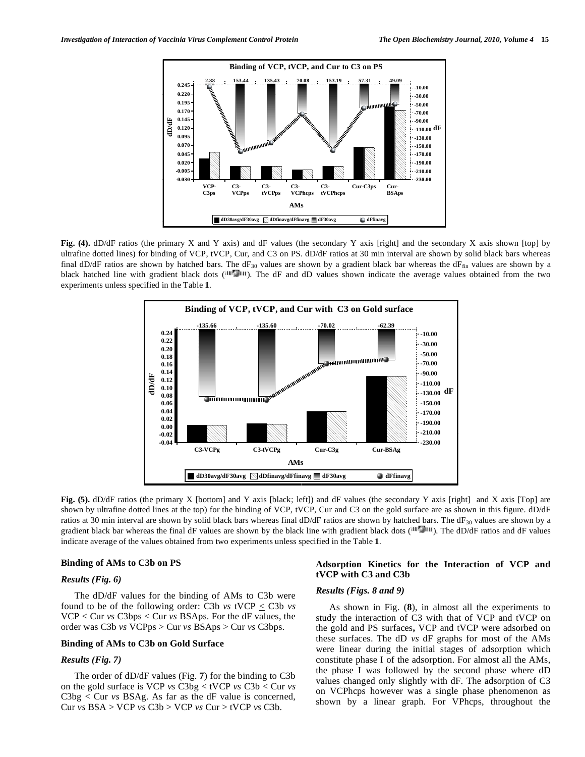

Fig. (4). dD/dF ratios (the primary X and Y axis) and dF values (the secondary Y axis [right] and the secondary X axis shown [top] by ultrafine dotted lines) for binding of VCP, tVCP, Cur, and C3 on PS. dD/dF ratios at 30 min interval are shown by solid black bars whereas final dD/dF ratios are shown by hatched bars. The dF<sub>30</sub> values are shown by a gradient black bar whereas the dF<sub>fin</sub> values are shown by a black hatched line with gradient black dots ( $\text{min}$ ). The dF and dD values shown indicate the average values obtained from the two experiments unless specified in the Table **1**.



**Fig.** (5). dD/dF ratios (the primary X [bottom] and Y axis [black; left]) and dF values (the secondary Y axis [right] and X axis [Top] are shown by ultrafine dotted lines at the top) for the binding of VCP, tVCP, Cur and C3 on the gold surface are as shown in this figure. dD/dF ratios at 30 min interval are shown by solid black bars whereas final dD/dF ratios are shown by hatched bars. The dF $_{30}$  values are shown by a gradient black bar whereas the final dF values are shown by the black line with gradient black dots  $(\mathbb{H}\mathbb{F}_{\mathbb{H}})$ . The dD/dF ratios and dF values indicate average of the values obtained from two experiments unless specified in the Table **1**.

# **Binding of AMs to C3b on PS**

# *Results (Fig. 6)*

 The dD/dF values for the binding of AMs to C3b were found to be of the following order: C3b *vs* tVCP < C3b *vs* VCP < Cur *vs* C3bps < Cur *vs* BSAps. For the dF values, the order was C3b *vs* VCPps > Cur *vs* BSAps > Cur *vs* C3bps.

# **Binding of AMs to C3b on Gold Surface**

## *Results (Fig. 7)*

 The order of dD/dF values (Fig. **7**) for the binding to C3b on the gold surface is VCP *vs* C3bg < tVCP *vs* C3b < Cur *vs* C3bg < Cur *vs* BSAg. As far as the dF value is concerned, Cur *vs* BSA > VCP *vs* C3b > VCP *vs* Cur > tVCP *vs* C3b.

# **Adsorption Kinetics for the Interaction of VCP and tVCP with C3 and C3b**

# *Results (Figs. 8 and 9)*

 As shown in Fig. (**8**), in almost all the experiments to study the interaction of C3 with that of VCP and tVCP on the gold and PS surfaces**,** VCP and tVCP were adsorbed on these surfaces. The dD *vs* dF graphs for most of the AMs were linear during the initial stages of adsorption which constitute phase I of the adsorption. For almost all the AMs, the phase I was followed by the second phase where dD values changed only slightly with dF. The adsorption of C3 on VCPhcps however was a single phase phenomenon as shown by a linear graph. For VPhcps, throughout the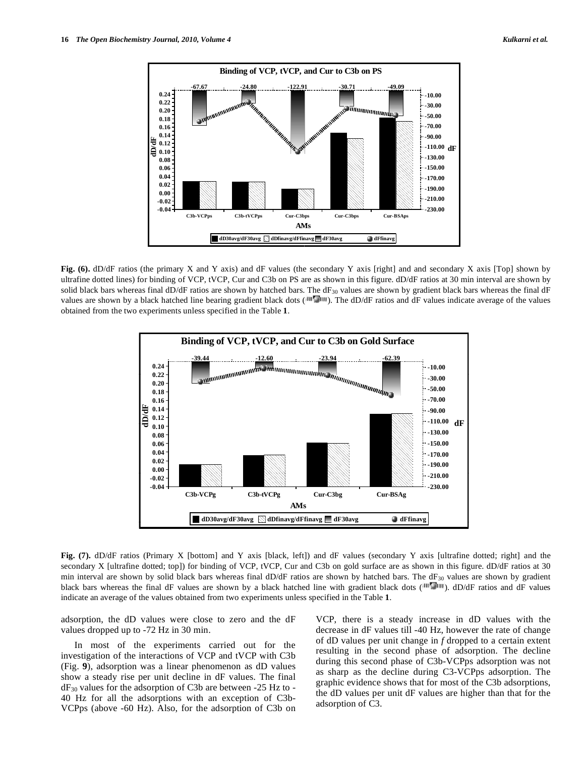

**Fig. (6).** dD/dF ratios (the primary X and Y axis) and dF values (the secondary Y axis [right] and and secondary X axis [Top] shown by ultrafine dotted lines) for binding of VCP, tVCP, Cur and C3b on PS are as shown in this figure. dD/dF ratios at 30 min interval are shown by solid black bars whereas final dD/dF ratios are shown by hatched bars. The dF<sub>30</sub> values are shown by gradient black bars whereas the final dF values are shown by a black hatched line bearing gradient black dots ( $\text{III}$ ). The dD/dF ratios and dF values indicate average of the values obtained from the two experiments unless specified in the Table **1**.



Fig. (7). dD/dF ratios (Primary X [bottom] and Y axis [black, left]) and dF values (secondary Y axis [ultrafine dotted; right] and the secondary X [ultrafine dotted; top]) for binding of VCP, tVCP, Cur and C3b on gold surface are as shown in this figure. dD/dF ratios at 30 min interval are shown by solid black bars whereas final  $dD/dF$  ratios are shown by hatched bars. The  $dF_{30}$  values are shown by gradient black bars whereas the final dF values are shown by a black hatched line with gradient black dots (IIIT IIII). dD/dF ratios and dF values indicate an average of the values obtained from two experiments unless specified in the Table **1**.

adsorption, the dD values were close to zero and the dF values dropped up to -72 Hz in 30 min.

 In most of the experiments carried out for the investigation of the interactions of VCP and tVCP with C3b (Fig. **9**), adsorption was a linear phenomenon as dD values show a steady rise per unit decline in dF values. The final dF30 values for the adsorption of C3b are between -25 Hz to - 40 Hz for all the adsorptions with an exception of C3b-VCPps (above -60 Hz). Also, for the adsorption of C3b on VCP, there is a steady increase in dD values with the decrease in dF values till -40 Hz, however the rate of change of dD values per unit change in *f* dropped to a certain extent resulting in the second phase of adsorption. The decline during this second phase of C3b-VCPps adsorption was not as sharp as the decline during C3-VCPps adsorption. The graphic evidence shows that for most of the C3b adsorptions, the dD values per unit dF values are higher than that for the adsorption of C3.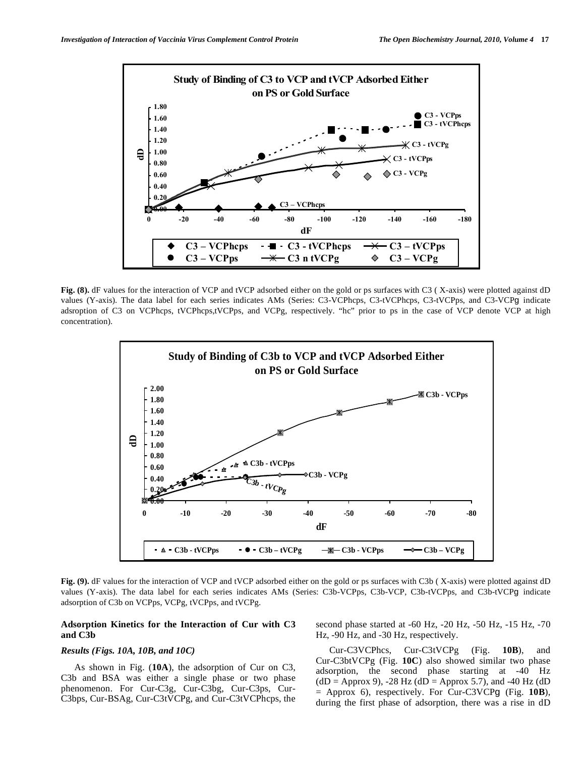

**Fig. (8).** dF values for the interaction of VCP and tVCP adsorbed either on the gold or ps surfaces with C3 ( X-axis) were plotted against dD values (Y-axis). The data label for each series indicates AMs (Series: C3-VCPhcps, C3-tVCPhcps, C3-tVCPps, and C3-VCPg indicate adsroption of C3 on VCPhcps, tVCPhcps,tVCPps, and VCPg, respectively. "hc" prior to ps in the case of VCP denote VCP at high concentration).



**Fig. (9).** dF values for the interaction of VCP and tVCP adsorbed either on the gold or ps surfaces with C3b ( X-axis) were plotted against dD values (Y-axis). The data label for each series indicates AMs (Series: C3b-VCPps, C3b-VCP, C3b-tVCPps, and C3b-tVCPg indicate adsorption of C3b on VCPps, VCPg, tVCPps, and tVCPg.

## **Adsorption Kinetics for the Interaction of Cur with C3 and C3b**

## *Results (Figs. 10A, 10B, and 10C)*

 As shown in Fig. (**10A**), the adsorption of Cur on C3, C3b and BSA was either a single phase or two phase phenomenon. For Cur-C3g, Cur-C3bg, Cur-C3ps, Cur-C3bps, Cur-BSAg, Cur-C3tVCPg, and Cur-C3tVCPhcps, the second phase started at -60 Hz, -20 Hz, -50 Hz, -15 Hz, -70 Hz, -90 Hz, and -30 Hz, respectively.

 Cur-C3VCPhcs, Cur-C3tVCPg (Fig. **10B**), and Cur-C3btVCPg (Fig. **10C**) also showed similar two phase adsorption, the second phase starting at -40 Hz  $(dD = Approx 9)$ , -28 Hz  $(dD = Approx 5.7)$ , and -40 Hz  $(dD)$ = Approx 6), respectively. For Cur-C3VCPg (Fig. **10B**), during the first phase of adsorption, there was a rise in dD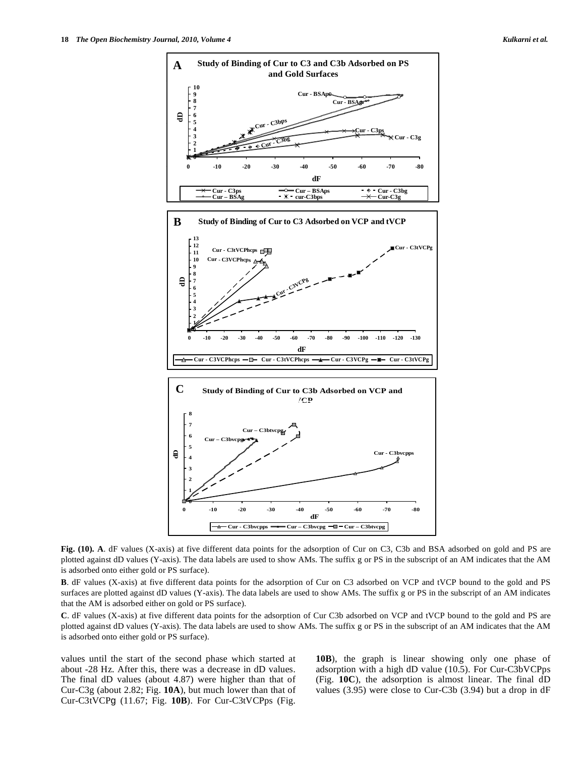

**Fig. (10). A**. dF values (X-axis) at five different data points for the adsorption of Cur on C3, C3b and BSA adsorbed on gold and PS are plotted against dD values (Y-axis). The data labels are used to show AMs. The suffix g or PS in the subscript of an AM indicates that the AM is adsorbed onto either gold or PS surface).

**B**. dF values (X-axis) at five different data points for the adsorption of Cur on C3 adsorbed on VCP and tVCP bound to the gold and PS surfaces are plotted against dD values (Y-axis). The data labels are used to show AMs. The suffix g or PS in the subscript of an AM indicates that the AM is adsorbed either on gold or PS surface).

**C**. dF values (X-axis) at five different data points for the adsorption of Cur C3b adsorbed on VCP and tVCP bound to the gold and PS are plotted against dD values (Y-axis). The data labels are used to show AMs. The suffix g or PS in the subscript of an AM indicates that the AM is adsorbed onto either gold or PS surface).

values until the start of the second phase which started at about -28 Hz. After this, there was a decrease in dD values. The final dD values (about 4.87) were higher than that of Cur-C3g (about 2.82; Fig. **10A**), but much lower than that of Cur-C3tVCPg (11.67; Fig. **10B**). For Cur-C3tVCPps (Fig.

**10B**), the graph is linear showing only one phase of adsorption with a high dD value (10.5). For Cur-C3bVCPps (Fig. **10C**), the adsorption is almost linear. The final dD values (3.95) were close to Cur-C3b (3.94) but a drop in dF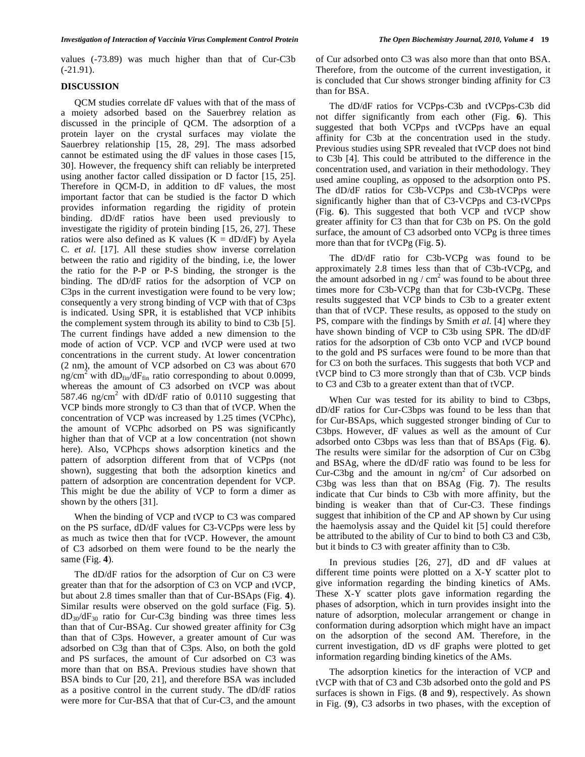values (-73.89) was much higher than that of Cur-C3b (-21.91).

# **DISCUSSION**

 QCM studies correlate dF values with that of the mass of a moiety adsorbed based on the Sauerbrey relation as discussed in the principle of QCM. The adsorption of a protein layer on the crystal surfaces may violate the Sauerbrey relationship [15, 28, 29]. The mass adsorbed cannot be estimated using the dF values in those cases [15, 30]. However, the frequency shift can reliably be interpreted using another factor called dissipation or D factor [15, 25]. Therefore in QCM-D, in addition to dF values, the most important factor that can be studied is the factor D which provides information regarding the rigidity of protein binding. dD/dF ratios have been used previously to investigate the rigidity of protein binding [15, 26, 27]. These ratios were also defined as K values ( $K = dD/dF$ ) by Ayela C. *et al*. [17]. All these studies show inverse correlation between the ratio and rigidity of the binding, i.e, the lower the ratio for the P-P or P-S binding, the stronger is the binding. The dD/dF ratios for the adsorption of VCP on C3ps in the current investigation were found to be very low; consequently a very strong binding of VCP with that of C3ps is indicated. Using SPR, it is established that VCP inhibits the complement system through its ability to bind to C3b [5]. The current findings have added a new dimension to the mode of action of VCP. VCP and tVCP were used at two concentrations in the current study. At lower concentration (2 nm), the amount of VCP adsorbed on C3 was about 670 ng/cm<sup>2</sup> with  $dD_{fin}/dF_{fin}$  ratio corresponding to about 0.0099, whereas the amount of C3 adsorbed on tVCP was about 587.46 ng/cm<sup>2</sup> with dD/dF ratio of 0.0110 suggesting that VCP binds more strongly to C3 than that of tVCP. When the concentration of VCP was increased by 1.25 times (VCPhc), the amount of VCPhc adsorbed on PS was significantly higher than that of VCP at a low concentration (not shown here). Also, VCPhcps shows adsorption kinetics and the pattern of adsorption different from that of VCPps (not shown), suggesting that both the adsorption kinetics and pattern of adsorption are concentration dependent for VCP. This might be due the ability of VCP to form a dimer as shown by the others [31].

 When the binding of VCP and tVCP to C3 was compared on the PS surface, dD/dF values for C3-VCPps were less by as much as twice then that for tVCP. However, the amount of C3 adsorbed on them were found to be the nearly the same (Fig. **4**).

 The dD/dF ratios for the adsorption of Cur on C3 were greater than that for the adsorption of C3 on VCP and tVCP, but about 2.8 times smaller than that of Cur-BSAps (Fig. **4**). Similar results were observed on the gold surface (Fig. **5**).  $dD_{30}/dF_{30}$  ratio for Cur-C3g binding was three times less than that of Cur-BSAg. Cur showed greater affinity for C3g than that of C3ps. However, a greater amount of Cur was adsorbed on C3g than that of C3ps. Also, on both the gold and PS surfaces, the amount of Cur adsorbed on C3 was more than that on BSA. Previous studies have shown that BSA binds to Cur [20, 21], and therefore BSA was included as a positive control in the current study. The dD/dF ratios were more for Cur-BSA that that of Cur-C3, and the amount

of Cur adsorbed onto C3 was also more than that onto BSA. Therefore, from the outcome of the current investigation, it is concluded that Cur shows stronger binding affinity for C3 than for BSA.

 The dD/dF ratios for VCPps-C3b and tVCPps-C3b did not differ significantly from each other (Fig. **6**). This suggested that both VCPps and tVCPps have an equal affinity for C3b at the concentration used in the study. Previous studies using SPR revealed that tVCP does not bind to C3b [4]. This could be attributed to the difference in the concentration used, and variation in their methodology. They used amine coupling, as opposed to the adsorption onto PS. The dD/dF ratios for C3b-VCPps and C3b-tVCPps were significantly higher than that of C3-VCPps and C3-tVCPps (Fig. **6**). This suggested that both VCP and tVCP show greater affinity for C3 than that for C3b on PS. On the gold surface, the amount of C3 adsorbed onto VCPg is three times more than that for tVCPg (Fig. **5**).

 The dD/dF ratio for C3b-VCPg was found to be approximately 2.8 times less than that of C3b-tVCPg, and the amount adsorbed in  $ng / cm<sup>2</sup>$  was found to be about three times more for C3b-VCPg than that for C3b-tVCPg. These results suggested that VCP binds to C3b to a greater extent than that of tVCP. These results, as opposed to the study on PS, compare with the findings by Smith *et al*. [4] where they have shown binding of VCP to C3b using SPR. The dD/dF ratios for the adsorption of C3b onto VCP and tVCP bound to the gold and PS surfaces were found to be more than that for C3 on both the surfaces. This suggests that both VCP and tVCP bind to C3 more strongly than that of C3b. VCP binds to C3 and C3b to a greater extent than that of tVCP.

 When Cur was tested for its ability to bind to C3bps, dD/dF ratios for Cur-C3bps was found to be less than that for Cur-BSAps, which suggested stronger binding of Cur to C3bps. However, dF values as well as the amount of Cur adsorbed onto C3bps was less than that of BSAps (Fig. **6**). The results were similar for the adsorption of Cur on C3bg and BSAg, where the dD/dF ratio was found to be less for Cur-C3bg and the amount in  $\frac{mg}{cm^2}$  of Cur adsorbed on C3bg was less than that on BSAg (Fig. **7**). The results indicate that Cur binds to C3b with more affinity, but the binding is weaker than that of Cur-C3. These findings suggest that inhibition of the CP and AP shown by Cur using the haemolysis assay and the Quidel kit [5] could therefore be attributed to the ability of Cur to bind to both C3 and C3b, but it binds to C3 with greater affinity than to C3b.

 In previous studies [26, 27], dD and dF values at different time points were plotted on a X-Y scatter plot to give information regarding the binding kinetics of AMs. These X-Y scatter plots gave information regarding the phases of adsorption, which in turn provides insight into the nature of adsorption, molecular arrangement or change in conformation during adsorption which might have an impact on the adsorption of the second AM. Therefore, in the current investigation, dD *vs* dF graphs were plotted to get information regarding binding kinetics of the AMs.

 The adsorption kinetics for the interaction of VCP and tVCP with that of C3 and C3b adsorbed onto the gold and PS surfaces is shown in Figs. (**8** and **9**), respectively. As shown in Fig. (**9**), C3 adsorbs in two phases, with the exception of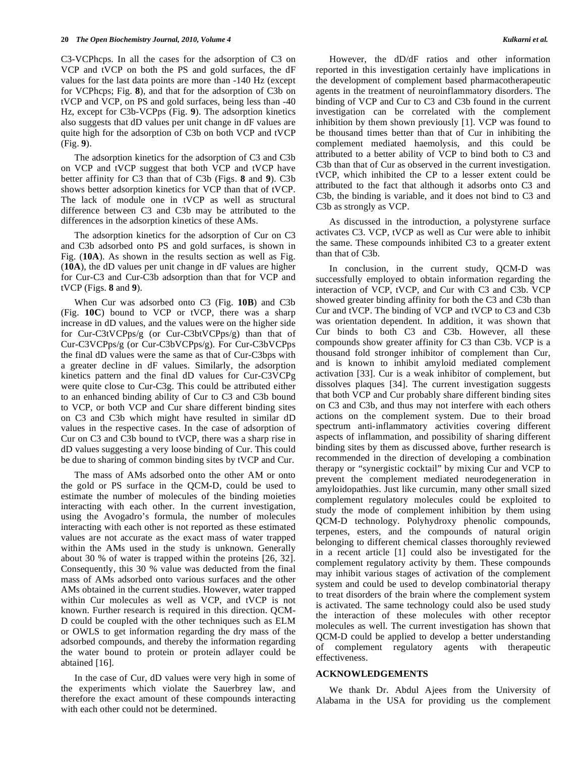C3-VCPhcps. In all the cases for the adsorption of C3 on VCP and tVCP on both the PS and gold surfaces, the dF values for the last data points are more than -140 Hz (except for VCPhcps; Fig. **8**), and that for the adsorption of C3b on tVCP and VCP, on PS and gold surfaces, being less than -40 Hz, except for C3b-VCPps (Fig. **9**). The adsorption kinetics also suggests that dD values per unit change in dF values are quite high for the adsorption of C3b on both VCP and tVCP (Fig. **9**).

 The adsorption kinetics for the adsorption of C3 and C3b on VCP and tVCP suggest that both VCP and tVCP have better affinity for C3 than that of C3b (Figs. **8** and **9**). C3b shows better adsorption kinetics for VCP than that of tVCP. The lack of module one in tVCP as well as structural difference between C3 and C3b may be attributed to the differences in the adsorption kinetics of these AMs.

 The adsorption kinetics for the adsorption of Cur on C3 and C3b adsorbed onto PS and gold surfaces, is shown in Fig. (**10A**). As shown in the results section as well as Fig. (**10A**), the dD values per unit change in dF values are higher for Cur-C3 and Cur-C3b adsorption than that for VCP and tVCP (Figs. **8** and **9**).

 When Cur was adsorbed onto C3 (Fig. **10B**) and C3b (Fig. **10C**) bound to VCP or tVCP, there was a sharp increase in dD values, and the values were on the higher side for Cur-C3tVCPps/g (or Cur-C3btVCPps/g) than that of Cur-C3VCPps/g (or Cur-C3bVCPps/g). For Cur-C3bVCPps the final dD values were the same as that of Cur-C3bps with a greater decline in dF values. Similarly, the adsorption kinetics pattern and the final dD values for Cur-C3VCPg were quite close to Cur-C3g. This could be attributed either to an enhanced binding ability of Cur to C3 and C3b bound to VCP, or both VCP and Cur share different binding sites on C3 and C3b which might have resulted in similar dD values in the respective cases. In the case of adsorption of Cur on C3 and C3b bound to tVCP, there was a sharp rise in dD values suggesting a very loose binding of Cur. This could be due to sharing of common binding sites by tVCP and Cur.

 The mass of AMs adsorbed onto the other AM or onto the gold or PS surface in the QCM-D, could be used to estimate the number of molecules of the binding moieties interacting with each other. In the current investigation, using the Avogadro's formula, the number of molecules interacting with each other is not reported as these estimated values are not accurate as the exact mass of water trapped within the AMs used in the study is unknown. Generally about 30 % of water is trapped within the proteins [26, 32]. Consequently, this 30 % value was deducted from the final mass of AMs adsorbed onto various surfaces and the other AMs obtained in the current studies. However, water trapped within Cur molecules as well as VCP, and tVCP is not known. Further research is required in this direction. QCM-D could be coupled with the other techniques such as ELM or OWLS to get information regarding the dry mass of the adsorbed compounds, and thereby the information regarding the water bound to protein or protein adlayer could be abtained [16].

 In the case of Cur, dD values were very high in some of the experiments which violate the Sauerbrey law, and therefore the exact amount of these compounds interacting with each other could not be determined.

 However, the dD/dF ratios and other information reported in this investigation certainly have implications in the development of complement based pharmacotherapeutic agents in the treatment of neuroinflammatory disorders. The binding of VCP and Cur to C3 and C3b found in the current investigation can be correlated with the complement inhibition by them shown previously [1]. VCP was found to be thousand times better than that of Cur in inhibiting the complement mediated haemolysis, and this could be attributed to a better ability of VCP to bind both to C3 and C3b than that of Cur as observed in the current investigation. tVCP, which inhibited the CP to a lesser extent could be attributed to the fact that although it adsorbs onto C3 and C3b, the binding is variable, and it does not bind to C3 and C3b as strongly as VCP.

 As discussed in the introduction, a polystyrene surface activates C3. VCP, tVCP as well as Cur were able to inhibit the same. These compounds inhibited C3 to a greater extent than that of C3b.

 In conclusion, in the current study, QCM-D was successfully employed to obtain information regarding the interaction of VCP, tVCP, and Cur with C3 and C3b. VCP showed greater binding affinity for both the C3 and C3b than Cur and tVCP. The binding of VCP and tVCP to C3 and C3b was orientation dependent. In addition, it was shown that Cur binds to both C3 and C3b. However, all these compounds show greater affinity for C3 than C3b. VCP is a thousand fold stronger inhibitor of complement than Cur, and is known to inhibit amyloid mediated complement activation [33]. Cur is a weak inhibitor of complement, but dissolves plaques [34]. The current investigation suggests that both VCP and Cur probably share different binding sites on C3 and C3b, and thus may not interfere with each others actions on the complement system. Due to their broad spectrum anti-inflammatory activities covering different aspects of inflammation, and possibility of sharing different binding sites by them as discussed above, further research is recommended in the direction of developing a combination therapy or "synergistic cocktail" by mixing Cur and VCP to prevent the complement mediated neurodegeneration in amyloidopathies. Just like curcumin, many other small sized complement regulatory molecules could be exploited to study the mode of complement inhibition by them using QCM-D technology. Polyhydroxy phenolic compounds, terpenes, esters, and the compounds of natural origin belonging to different chemical classes thoroughly reviewed in a recent article [1] could also be investigated for the complement regulatory activity by them. These compounds may inhibit various stages of activation of the complement system and could be used to develop combinatorial therapy to treat disorders of the brain where the complement system is activated. The same technology could also be used study the interaction of these molecules with other receptor molecules as well. The current investigation has shown that QCM-D could be applied to develop a better understanding of complement regulatory agents with therapeutic effectiveness.

## **ACKNOWLEDGEMENTS**

 We thank Dr. Abdul Ajees from the University of Alabama in the USA for providing us the complement